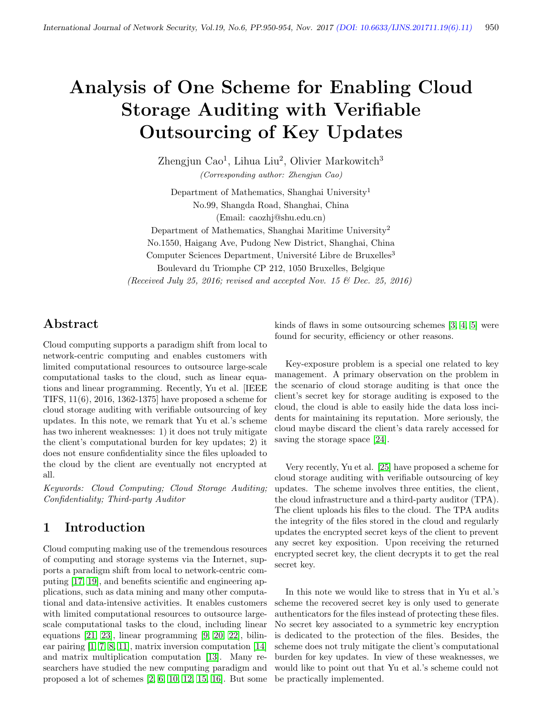# Analysis of One Scheme for Enabling Cloud Storage Auditing with Verifiable Outsourcing of Key Updates

Zhengjun Cao<sup>1</sup>, Lihua Liu<sup>2</sup>, Olivier Markowitch<sup>3</sup> (Corresponding author: Zhengjun Cao)

Department of Mathematics, Shanghai University<sup>1</sup> No.99, Shangda Road, Shanghai, China (Email: caozhj@shu.edu.cn)

Department of Mathematics, Shanghai Maritime University<sup>2</sup> No.1550, Haigang Ave, Pudong New District, Shanghai, China Computer Sciences Department, Université Libre de Bruxelles<sup>3</sup> Boulevard du Triomphe CP 212, 1050 Bruxelles, Belgique (Received July 25, 2016; revised and accepted Nov. 15  $\mathcal{O}($  Dec. 25, 2016)

Abstract

Cloud computing supports a paradigm shift from local to network-centric computing and enables customers with limited computational resources to outsource large-scale computational tasks to the cloud, such as linear equations and linear programming. Recently, Yu et al. [IEEE TIFS, 11(6), 2016, 1362-1375] have proposed a scheme for cloud storage auditing with verifiable outsourcing of key updates. In this note, we remark that Yu et al.'s scheme has two inherent weaknesses: 1) it does not truly mitigate the client's computational burden for key updates; 2) it does not ensure confidentiality since the files uploaded to the cloud by the client are eventually not encrypted at all.

Keywords: Cloud Computing; Cloud Storage Auditing; Confidentiality; Third-party Auditor

# 1 Introduction

Cloud computing making use of the tremendous resources of computing and storage systems via the Internet, supports a paradigm shift from local to network-centric computing [\[17,](#page-4-0) [19\]](#page-4-1), and benefits scientific and engineering applications, such as data mining and many other computational and data-intensive activities. It enables customers with limited computational resources to outsource largescale computational tasks to the cloud, including linear equations [\[21,](#page-4-2) [23\]](#page-4-3), linear programming [\[9,](#page-3-0) [20,](#page-4-4) [22\]](#page-4-5), bilinear pairing [\[1,](#page-3-1) [7,](#page-3-2) [8,](#page-3-3) [11\]](#page-3-4), matrix inversion computation [\[14\]](#page-4-6) and matrix multiplication computation [\[13\]](#page-4-7). Many researchers have studied the new computing paradigm and proposed a lot of schemes [\[2,](#page-3-5) [6,](#page-3-6) [10,](#page-3-7) [12,](#page-4-8) [15,](#page-4-9) [16\]](#page-4-10). But some kinds of flaws in some outsourcing schemes [\[3,](#page-3-8) [4,](#page-3-9) [5\]](#page-3-10) were found for security, efficiency or other reasons.

Key-exposure problem is a special one related to key management. A primary observation on the problem in the scenario of cloud storage auditing is that once the client's secret key for storage auditing is exposed to the cloud, the cloud is able to easily hide the data loss incidents for maintaining its reputation. More seriously, the cloud maybe discard the client's data rarely accessed for saving the storage space [\[24\]](#page-4-11).

Very recently, Yu et al. [\[25\]](#page-4-12) have proposed a scheme for cloud storage auditing with verifiable outsourcing of key updates. The scheme involves three entities, the client, the cloud infrastructure and a third-party auditor (TPA). The client uploads his files to the cloud. The TPA audits the integrity of the files stored in the cloud and regularly updates the encrypted secret keys of the client to prevent any secret key exposition. Upon receiving the returned encrypted secret key, the client decrypts it to get the real secret key.

In this note we would like to stress that in Yu et al.'s scheme the recovered secret key is only used to generate authenticators for the files instead of protecting these files. No secret key associated to a symmetric key encryption is dedicated to the protection of the files. Besides, the scheme does not truly mitigate the client's computational burden for key updates. In view of these weaknesses, we would like to point out that Yu et al.'s scheme could not be practically implemented.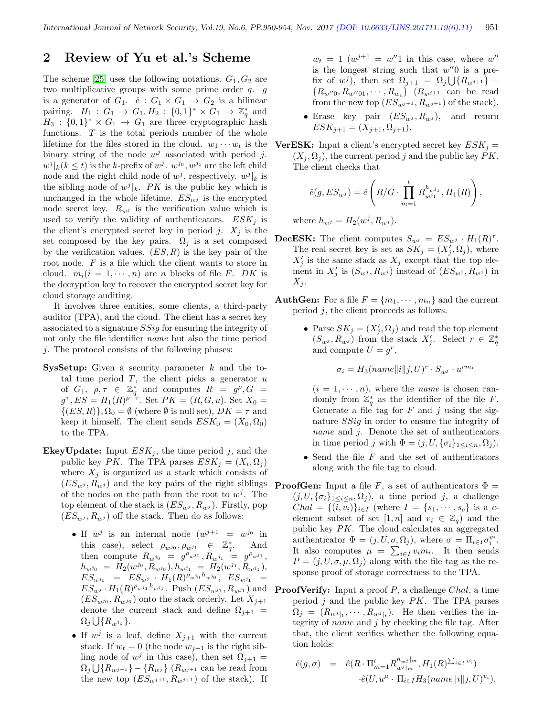## 2 Review of Yu et al.'s Scheme

The scheme [\[25\]](#page-4-12) uses the following notations.  $G_1, G_2$  are two multiplicative groups with some prime order q. g is a generator of  $G_1$ .  $\hat{e}: G_1 \times G_1 \to G_2$  is a bilinear pairing.  $H_1: G_1 \to G_1, H_2: \{0,1\}^* \times G_1 \to \mathbb{Z}_q^*$  and  $H_3: \{0,1\}^* \times G_1 \rightarrow G_1$  are three cryptographic hash functions. T is the total periods number of the whole lifetime for the files stored in the cloud.  $w_1 \cdots w_t$  is the binary string of the node  $w^j$  associated with period j.  $w^j|_k (k \leq t)$  is the k-prefix of  $w^j$ .  $w^{j_0}, w^{j_1}$  are the left child node and the right child node of  $w^j$ , respectively.  $w^j|_{\bar{k}}$  is the sibling node of  $w^{j}|_{k}$ . PK is the public key which is unchanged in the whole lifetime.  $ES_{w^j}$  is the encrypted node secret key.  $R_{w^j}$  is the verification value which is used to verify the validity of authenticators.  $ESK_j$  is the client's encrypted secret key in period j.  $X_i$  is the set composed by the key pairs.  $\Omega_j$  is a set composed by the verification values.  $(ES, R)$  is the key pair of the root node.  $F$  is a file which the client wants to store in cloud.  $m_i(i = 1, \dots, n)$  are *n* blocks of file *F*. *DK* is the decryption key to recover the encrypted secret key for cloud storage auditing.

It involves three entities, some clients, a third-party auditor (TPA), and the cloud. The client has a secret key associated to a signature SSig for ensuring the integrity of not only the file identifier name but also the time period  $i$ . The protocol consists of the following phases:

- **SysSetup:** Given a security parameter  $k$  and the total time period  $T$ , the client picks a generator  $u$ of  $G_1, \rho, \tau \in \mathbb{Z}_q^*$  and computes  $R = g^{\rho}, G =$  $g^{\tau}$ ,  $ES = H_1(R)^{\rho - \tau}$ . Set  $PK = (R, G, u)$ . Set  $X_0 =$  $\{(ES, R)\}, \Omega_0 = \emptyset$  (where  $\emptyset$  is null set),  $DK = \tau$  and keep it himself. The client sends  $ESK_0 = (X_0, \Omega_0)$ to the TPA.
- **EkeyUpdate:** Input  $ESK_j$ , the time period j, and the public key PK. The TPA parses  $ESK_j = (X_i, \Omega_j)$ where  $X_j$  is organized as a stack which consists of  $(ES_{w,i}, R_{w,i})$  and the key pairs of the right siblings of the nodes on the path from the root to  $w^j$ . The top element of the stack is  $(ES_{w^j}, R_{w^j})$ . Firstly, pop  $(ES_{w,i}, R_{w,i})$  off the stack. Then do as follows:
	- If  $w^j$  is an internal node  $(w^{j+1} = w^{j_0})$  in this case), select  $\rho_{w^{j_0}}, \rho_{w^{j_1}} \in \mathbb{Z}_q^*$ . And then compute  $R_{w^{j_0}} = g^{\rho_{w^{j_0}}}, R_{w^{j_1}} = g^{\rho_{w^{j_1}}},$  $h_{w^{j_0}} = H_2(w^{j_0}, R_{w^{j_0}}), h_{w^{j_1}} = H_2(w^{j_1}, R_{w^{j_1}}),$  $ES_{w^{j_0}} = ES_{w^{j}} \cdot H_1(R)^{\rho_{w^{j_0}} h_{w^{j_0}}}, ES_{w^{j_1}} =$  $ES_{w^j} \cdot H_1(R)^{\rho_{w^j1}} h_{w^j1}$ . Push  $(ES_{w^{j_1}}, R_{w^{j_1}})$  and  $(ES_{w^{j_0}}, R_{w^{j_0}})$  onto the stack orderly. Let  $X_{j+1}$ denote the current stack and define  $\Omega_{j+1}$  =  $\Omega_j\bigcup\{R_{w^{j_0}}\}.$
	- If  $w^j$  is a leaf, define  $X_{j+1}$  with the current stack. If  $w_t = 0$  (the node  $w_{j+1}$  is the right sibling node of  $w^j$  in this case), then set  $\Omega_{j+1} =$  $\Omega_j \bigcup \{ R_{w^{j+1}} \} - \{ R_{w^{j}} \}$   $(R_{w^{j+1}}$  can be read from the new top  $(ES_{w^{j+1}}, R_{w^{j+1}})$  of the stack). If

 $w_t = 1$  ( $w^{j+1} = w''1$  in this case, where  $w''$ is the longest string such that  $w''0$  is a prefix of  $w^j$ ), then set  $\Omega_{j+1} = \Omega_j \bigcup \{ R_{w^{j+1}} \}$  –  ${R_{w''0}, R_{w''01}, \cdots, R_{w_t}}$  ( $R_{w^{j+1}}$  can be read from the new top  $(ES_{w^{j+1}}, R_{w^{j+1}})$  of the stack).

- Erase key pair  $(ES_{w^j}, R_{w^j})$ , and return  $ESK_{j+1} = (X_{j+1}, \Omega_{j+1}).$
- **VerESK:** Input a client's encrypted secret key  $ESK_j =$  $(X_i, \Omega_i)$ , the current period j and the public key PK. The client checks that

$$
\hat{e}(g, ES_{w^j}) = \hat{e}\left(R/G \cdot \prod_{m=1}^t R_{w^{j_1}}^{h_{w^{j_1}}}, H_1(R)\right),
$$

where  $h_{w^j} = H_2(w^j, R_{w^j}).$ 

- **DecESK:** The client computes  $S_{w^j} = ES_{w^j} \cdot H_1(R)^{\tau}$ . The real secret key is set as  $SK_j = (X'_j, \Omega_j)$ , where  $X'_{j}$  is the same stack as  $X_{j}$  except that the top element in  $X'_j$  is  $(S_{w^j}, R_{w^j})$  instead of  $(ES_{w^j}, R_{w^j})$  in  $X_i$ .
- **AuthGen:** For a file  $F = \{m_1, \dots, m_n\}$  and the current period j, the client proceeds as follows.
	- Parse  $SK_j = (X'_j, \Omega_j)$  and read the top element  $(S_{w^j}, R_{w^j})$  from the stack  $X'_j$ . Select  $r \in \mathbb{Z}_q^*$ and compute  $U = g^r$ ,

$$
\sigma_i = H_3(name||i||j, U)^r \cdot S_{w^j} \cdot u^{rm_i}
$$

 $(i = 1, \dots, n)$ , where the *name* is chosen randomly from  $\mathbb{Z}_q^*$  as the identifier of the file F. Generate a file tag for  $F$  and  $j$  using the signature SSig in order to ensure the integrity of name and j. Denote the set of authenticators in time period j with  $\Phi = (j, U, {\{\sigma_i\}}_{1 \leq i \leq n}, \Omega_j)$ .

- Send the file  $F$  and the set of authenticators along with the file tag to cloud.
- **ProofGen:** Input a file F, a set of authenticators  $\Phi$  =  $(j, U, {\{\sigma_i\}}_{1 \leq i \leq n}, \Omega_j)$ , a time period j, a challenge  $Chal = \{(i, v_i)\}_{i \in I}$  (where  $I = \{s_1, \dots, s_c\}$  is a celement subset of set  $[1, n]$  and  $v_i \in \mathbb{Z}_q$  and the public key PK. The cloud calculates an aggregated authenticator  $\Phi = (j, U, \sigma, \Omega_j)$ , where  $\sigma = \Pi_{i \in I} \sigma_i^{v_i}$ . It also computes  $\mu = \sum_{i \in I} v_i m_i$ . It then sends  $P = (j, U, \sigma, \mu, \Omega_j)$  along with the file tag as the response proof of storage correctness to the TPA.
- **ProofVerify:** Input a proof  $P$ , a challenge *Chal*, a time period  $j$  and the public key  $PK$ . The TPA parses  $\Omega_j = (R_{w^j}|_1, \cdots, R_{w^j}|_t)$ . He then verifies the integrity of *name* and  $j$  by checking the file tag. After that, the client verifies whether the following equation holds:

$$
\begin{array}{rcl}\n\hat{e}(g,\sigma) & = & \hat{e}(R \cdot \Pi_{m=1}^t R_{w^j \mid m}^{h_{w^j} \mid m}, H_1(R)^{\sum_{i \in I} v_i}) \\
&\quad \cdot \hat{e}(U, u^\mu \cdot \Pi_{i \in I} H_3(name \|\boldsymbol{i}\|\boldsymbol{j}, U)^{v_i}),\n\end{array}
$$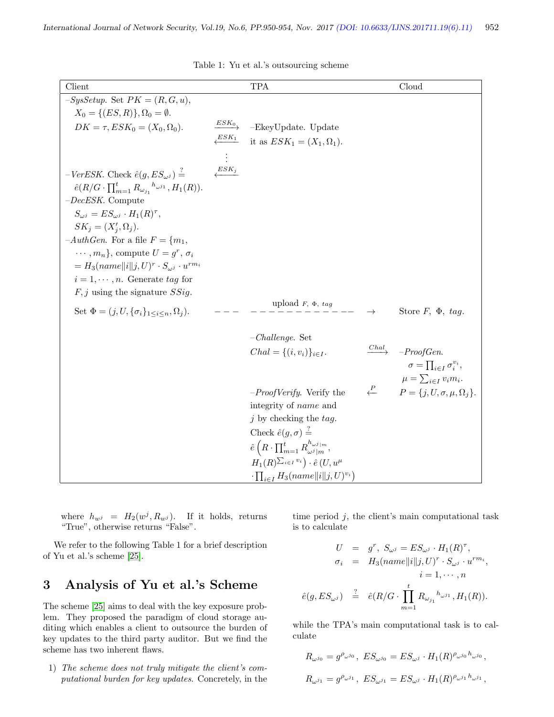| Client                                                                             |                               | <b>TPA</b>                                                                 |                      | Cloud                                      |
|------------------------------------------------------------------------------------|-------------------------------|----------------------------------------------------------------------------|----------------------|--------------------------------------------|
| $-SysSetup.$ Set $PK = (R, G, u),$                                                 |                               |                                                                            |                      |                                            |
| $X_0 = \{ (ES, R) \}, \Omega_0 = \emptyset.$                                       |                               |                                                                            |                      |                                            |
| $DK = \tau, ESK_0 = (X_0, \Omega_0).$                                              | $\xrightarrow{ESK_0}$         | -EkeyUpdate. Update                                                        |                      |                                            |
|                                                                                    |                               | $\overline{\mathcal{L}^{ESK_1}}$ it as $ESK_1 = (X_1, \Omega_1).$          |                      |                                            |
|                                                                                    |                               |                                                                            |                      |                                            |
|                                                                                    |                               |                                                                            |                      |                                            |
| $-VerESK$ . Check $\hat{e}(g, ES_{\omega^j}) =$                                    | $\overline{\overline{ESK_j}}$ |                                                                            |                      |                                            |
| $\hat{e}(R/G \cdot \prod_{m=1}^{t} R_{\omega_{j_1}}^{h_{\omega^{j_1}}} , H_1(R)).$ |                               |                                                                            |                      |                                            |
| $-DecESK$ . Compute                                                                |                               |                                                                            |                      |                                            |
| $S_{\omega j} = ES_{\omega j} \cdot H_1(R)^{\tau},$                                |                               |                                                                            |                      |                                            |
| $SK_i = (X_i', \Omega_i).$                                                         |                               |                                                                            |                      |                                            |
| $-AuthGen.$ For a file $F = \{m_1,$                                                |                               |                                                                            |                      |                                            |
| $\cdots$ , $m_n$ , compute $U = g^r$ , $\sigma_i$                                  |                               |                                                                            |                      |                                            |
| $= H_3(name  i  j, U)^r \cdot S_{\omega i} \cdot u^{rm_i}$                         |                               |                                                                            |                      |                                            |
| $i=1,\cdots,n$ . Generate tag for                                                  |                               |                                                                            |                      |                                            |
| $F, j$ using the signature $SSig$ .                                                |                               |                                                                            |                      |                                            |
| Set $\Phi = (j, U, {\{\sigma_i\}}_{1 \leq i \leq n}, \Omega_i).$                   |                               | upload $F$ , $\Phi$ , $tag$                                                | $\rightarrow$        | Store $F$ , $\Phi$ , tag.                  |
|                                                                                    |                               |                                                                            |                      |                                            |
|                                                                                    |                               | $-Challenge.$ Set                                                          |                      |                                            |
|                                                                                    |                               | $Chal = \{(i, v_i)\}_{i \in I}.$                                           | $\xrightarrow{Chal}$ | $-ProofGen.$                               |
|                                                                                    |                               |                                                                            |                      | $\sigma = \prod_{i \in I} \sigma_i^{v_i},$ |
|                                                                                    |                               |                                                                            |                      | $\mu = \sum_{i \in I} v_i m_i.$            |
|                                                                                    |                               | $-ProofVerify. Verify the$                                                 | $\leftarrow$         | $P = \{j, U, \sigma, \mu, \Omega_j\}.$     |
|                                                                                    |                               | integrity of <i>name</i> and                                               |                      |                                            |
|                                                                                    |                               | $j$ by checking the tag.                                                   |                      |                                            |
|                                                                                    |                               | Check $\hat{e}(g,\sigma) \stackrel{f}{=}$                                  |                      |                                            |
|                                                                                    |                               | $\hat{e}\left(R\cdot\prod_{m=1}^t R_{\omega^j m}^{h_{\omega^j m}},\right)$ |                      |                                            |
|                                                                                    |                               | $H_1(R)^{\sum_{i\in I} v_i}$ $\cdot \hat{e}(U, u^{\mu})$                   |                      |                                            |
|                                                                                    |                               | $\cdot \prod_{i \in I} H_3(name  i  j, U)^{v_i})$                          |                      |                                            |

Table 1: Yu et al.'s outsourcing scheme

where  $h_{w^j} = H_2(w^j, R_{w^j})$ . If it holds, returns "True", otherwise returns "False".

We refer to the following Table 1 for a brief description of Yu et al.'s scheme [\[25\]](#page-4-12).

# 3 Analysis of Yu et al.'s Scheme

The scheme [\[25\]](#page-4-12) aims to deal with the key exposure problem. They proposed the paradigm of cloud storage auditing which enables a client to outsource the burden of key updates to the third party auditor. But we find the scheme has two inherent flaws.

1) The scheme does not truly mitigate the client's computational burden for key updates. Concretely, in the time period  $j$ , the client's main computational task is to calculate

$$
U = g^{r}, S_{\omega^{j}} = ES_{\omega^{j}} \cdot H_{1}(R)^{\tau},
$$
  
\n
$$
\sigma_{i} = H_{3}(name||i||j, U)^{r} \cdot S_{\omega^{j}} \cdot u^{rm_{i}},
$$
  
\n
$$
i = 1, \cdots, n
$$
  
\n
$$
\hat{e}(g, ES_{\omega^{j}}) \stackrel{?}{=} \hat{e}(R/G \cdot \prod_{m=1}^{t} R_{\omega_{j_{1}}}^{h_{\omega^{j_{1}}}, H_{1}(R)).
$$

while the TPA's main computational task is to calculate

$$
R_{\omega^{j_0}} = g^{\rho_{\omega^{j_0}}}, \ E S_{\omega^{j_0}} = E S_{\omega^j} \cdot H_1(R)^{\rho_{\omega^{j_0}} h_{\omega^{j_0}}},
$$
  

$$
R_{\omega^{j_1}} = g^{\rho_{\omega^{j_1}}}, \ E S_{\omega^{j_1}} = E S_{\omega^j} \cdot H_1(R)^{\rho_{\omega^{j_1}} h_{\omega^{j_1}}},
$$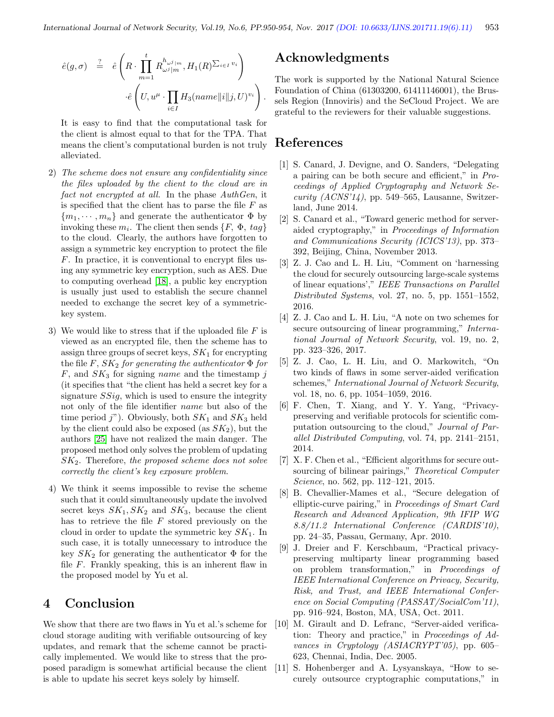$$
\begin{array}{rcl}\n\hat{e}(g,\sigma) & \stackrel{?}{=} & \hat{e}\left(R \cdot \prod_{m=1}^t R_{\omega^j|m}^{h_{\omega^j|m}} , H_1(R)^{\sum_{i \in I} v_i}\right) \\
& \cdot \hat{e}\left(U, u^{\mu} \cdot \prod_{i \in I} H_3(name||i||j, U)^{v_i}\right).\n\end{array}
$$

It is easy to find that the computational task for the client is almost equal to that for the TPA. That means the client's computational burden is not truly alleviated.

- 2) The scheme does not ensure any confidentiality since the files uploaded by the client to the cloud are in fact not encrypted at all. In the phase AuthGen, it is specified that the client has to parse the file  $F$  as  ${m_1, \dots, m_n}$  and generate the authenticator  $\Phi$  by invoking these  $m_i$ . The client then sends  $\{F, \Phi, tag\}$ to the cloud. Clearly, the authors have forgotten to assign a symmetric key encryption to protect the file F. In practice, it is conventional to encrypt files using any symmetric key encryption, such as AES. Due to computing overhead [\[18\]](#page-4-13), a public key encryption is usually just used to establish the secure channel needed to exchange the secret key of a symmetrickey system.
- 3) We would like to stress that if the uploaded file  $F$  is viewed as an encrypted file, then the scheme has to assign three groups of secret keys,  $SK_1$  for encrypting the file  $F, SK_2$  for generating the authenticator  $\Phi$  for  $F$ , and  $SK_3$  for signing *name* and the timestamp j (it specifies that "the client has held a secret key for a signature  $SSig$ , which is used to ensure the integrity not only of the file identifier name but also of the time period j"). Obviously, both  $SK_1$  and  $SK_3$  held by the client could also be exposed (as  $SK<sub>2</sub>$ ), but the authors [\[25\]](#page-4-12) have not realized the main danger. The proposed method only solves the problem of updating  $SK<sub>2</sub>$ . Therefore, the proposed scheme does not solve correctly the client's key exposure problem.
- 4) We think it seems impossible to revise the scheme such that it could simultaneously update the involved secret keys  $SK_1, SK_2$  and  $SK_3$ , because the client has to retrieve the file  $F$  stored previously on the cloud in order to update the symmetric key  $SK_1$ . In such case, it is totally unnecessary to introduce the key  $SK_2$  for generating the authenticator  $\Phi$  for the file  $F$ . Frankly speaking, this is an inherent flaw in the proposed model by Yu et al.

## 4 Conclusion

We show that there are two flaws in Yu et al.'s scheme for cloud storage auditing with verifiable outsourcing of key updates, and remark that the scheme cannot be practically implemented. We would like to stress that the proposed paradigm is somewhat artificial because the client is able to update his secret keys solely by himself.

## Acknowledgments

The work is supported by the National Natural Science Foundation of China (61303200, 61411146001), the Brussels Region (Innoviris) and the SeCloud Project. We are grateful to the reviewers for their valuable suggestions.

### References

- <span id="page-3-1"></span>[1] S. Canard, J. Devigne, and O. Sanders, "Delegating a pairing can be both secure and efficient," in Proceedings of Applied Cryptography and Network Se $curity (ACNS'14)$ , pp. 549–565, Lausanne, Switzerland, June 2014.
- <span id="page-3-5"></span>[2] S. Canard et al., "Toward generic method for serveraided cryptography," in Proceedings of Information and Communications Security (ICICS'13), pp. 373– 392, Beijing, China, November 2013.
- <span id="page-3-8"></span>[3] Z. J. Cao and L. H. Liu, "Comment on 'harnessing the cloud for securely outsourcing large-scale systems of linear equations'," IEEE Transactions on Parallel Distributed Systems, vol. 27, no. 5, pp. 1551–1552, 2016.
- <span id="page-3-9"></span>[4] Z. J. Cao and L. H. Liu, "A note on two schemes for secure outsourcing of linear programming," International Journal of Network Security, vol. 19, no. 2, pp. 323–326, 2017.
- <span id="page-3-10"></span>[5] Z. J. Cao, L. H. Liu, and O. Markowitch, "On two kinds of flaws in some server-aided verification schemes," International Journal of Network Security, vol. 18, no. 6, pp. 1054–1059, 2016.
- <span id="page-3-6"></span>[6] F. Chen, T. Xiang, and Y. Y. Yang, "Privacypreserving and verifiable protocols for scientific computation outsourcing to the cloud," Journal of Parallel Distributed Computing, vol. 74, pp. 2141–2151, 2014.
- <span id="page-3-2"></span>[7] X. F. Chen et al., "Efficient algorithms for secure outsourcing of bilinear pairings," Theoretical Computer Science, no. 562, pp. 112-121, 2015.
- <span id="page-3-3"></span>[8] B. Chevallier-Mames et al., "Secure delegation of elliptic-curve pairing," in Proceedings of Smart Card Research and Advanced Application, 9th IFIP WG 8.8/11.2 International Conference (CARDIS'10), pp. 24–35, Passau, Germany, Apr. 2010.
- <span id="page-3-0"></span>[9] J. Dreier and F. Kerschbaum, "Practical privacypreserving multiparty linear programming based on problem transformation," in Proceedings of IEEE International Conference on Privacy, Security, Risk, and Trust, and IEEE International Conference on Social Computing (PASSAT/SocialCom'11), pp. 916–924, Boston, MA, USA, Oct. 2011.
- <span id="page-3-7"></span>[10] M. Girault and D. Lefranc, "Server-aided verification: Theory and practice," in Proceedings of Advances in Cryptology (ASIACRYPT'05), pp. 605– 623, Chennai, India, Dec. 2005.
- <span id="page-3-4"></span>[11] S. Hohenberger and A. Lysyanskaya, "How to securely outsource cryptographic computations," in